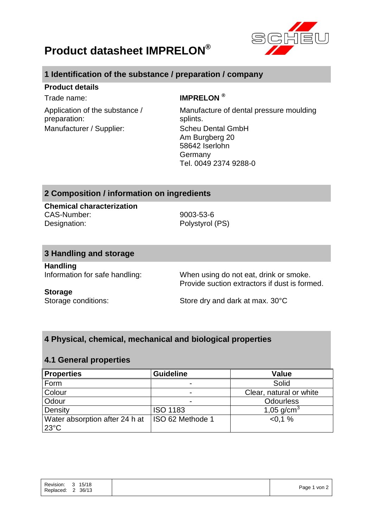

## **Product datasheet IMPRELON®**

## **1 Identification of the substance / preparation / company**

#### **Product details**

Application of the substance / preparation: Manufacturer / Supplier: Scheu Dental GmbH

## Trade name: **IMPRELON ®**

Manufacture of dental pressure moulding splints. Am Burgberg 20 58642 Iserlohn Germany Tel. 0049 2374 9288-0

## **2 Composition / information on ingredients**

**Chemical characterization** CAS-Number: 9003-53-6 Designation: Polystyrol (PS)

### **3 Handling and storage**

**Handling**

Information for safe handling: When using do not eat, drink or smoke. Provide suction extractors if dust is formed.

#### **Storage**

Storage conditions: Store dry and dark at max. 30°C

## **4 Physical, chemical, mechanical and biological properties**

### **4.1 General properties**

| <b>Properties</b>                                | <b>Guideline</b>        | <b>Value</b>            |
|--------------------------------------------------|-------------------------|-------------------------|
| Form                                             |                         | Solid                   |
| Colour                                           |                         | Clear, natural or white |
| Odour                                            |                         | <b>Odourless</b>        |
| Density                                          | <b>ISO 1183</b>         | 1,05 $g/cm^{3}$         |
| Water absorption after 24 h at<br>$23^{\circ}$ C | <b>ISO 62 Methode 1</b> | $< 0.1 \%$              |

| 15/18<br>$\overline{\mathbf{3}}$<br>Page 1 von 2<br>36/13<br>Replaced:<br>2 | Revision: |
|-----------------------------------------------------------------------------|-----------|
|-----------------------------------------------------------------------------|-----------|